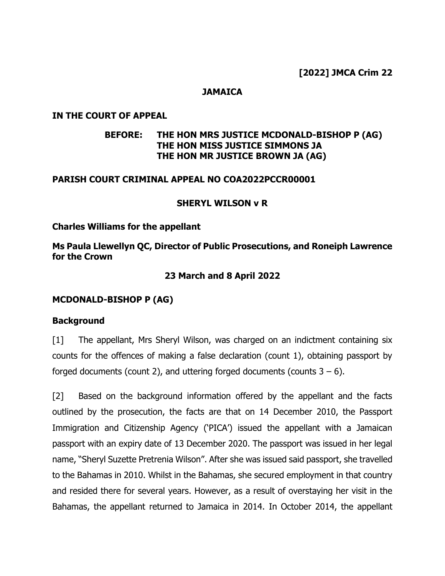# **JAMAICA**

### **IN THE COURT OF APPEAL**

# **BEFORE: THE HON MRS JUSTICE MCDONALD-BISHOP P (AG) THE HON MISS JUSTICE SIMMONS JA THE HON MR JUSTICE BROWN JA (AG)**

#### **PARISH COURT CRIMINAL APPEAL NO COA2022PCCR00001**

#### **SHERYL WILSON v R**

#### **Charles Williams for the appellant**

**Ms Paula Llewellyn QC, Director of Public Prosecutions, and Roneiph Lawrence for the Crown**

## **23 March and 8 April 2022**

#### **MCDONALD-BISHOP P (AG)**

#### **Background**

[1] The appellant, Mrs Sheryl Wilson, was charged on an indictment containing six counts for the offences of making a false declaration (count 1), obtaining passport by forged documents (count 2), and uttering forged documents (counts  $3 - 6$ ).

[2] Based on the background information offered by the appellant and the facts outlined by the prosecution, the facts are that on 14 December 2010, the Passport Immigration and Citizenship Agency ('PICA') issued the appellant with a Jamaican passport with an expiry date of 13 December 2020. The passport was issued in her legal name, "Sheryl Suzette Pretrenia Wilson". After she was issued said passport, she travelled to the Bahamas in 2010. Whilst in the Bahamas, she secured employment in that country and resided there for several years. However, as a result of overstaying her visit in the Bahamas, the appellant returned to Jamaica in 2014. In October 2014, the appellant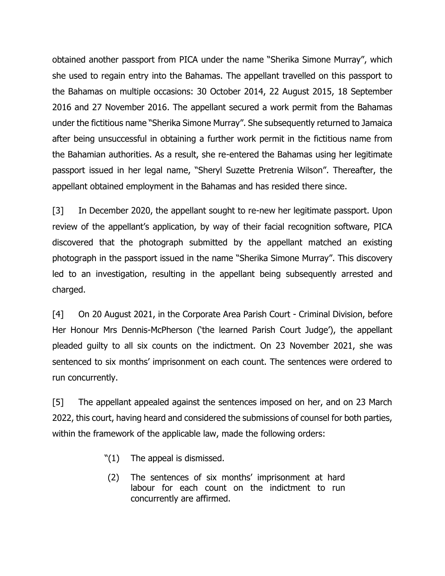obtained another passport from PICA under the name "Sherika Simone Murray", which she used to regain entry into the Bahamas. The appellant travelled on this passport to the Bahamas on multiple occasions: 30 October 2014, 22 August 2015, 18 September 2016 and 27 November 2016. The appellant secured a work permit from the Bahamas under the fictitious name "Sherika Simone Murray". She subsequently returned to Jamaica after being unsuccessful in obtaining a further work permit in the fictitious name from the Bahamian authorities. As a result, she re-entered the Bahamas using her legitimate passport issued in her legal name, "Sheryl Suzette Pretrenia Wilson". Thereafter, the appellant obtained employment in the Bahamas and has resided there since.

[3] In December 2020, the appellant sought to re-new her legitimate passport. Upon review of the appellant's application, by way of their facial recognition software, PICA discovered that the photograph submitted by the appellant matched an existing photograph in the passport issued in the name "Sherika Simone Murray". This discovery led to an investigation, resulting in the appellant being subsequently arrested and charged.

[4] On 20 August 2021, in the Corporate Area Parish Court - Criminal Division, before Her Honour Mrs Dennis-McPherson ('the learned Parish Court Judge'), the appellant pleaded guilty to all six counts on the indictment. On 23 November 2021, she was sentenced to six months' imprisonment on each count. The sentences were ordered to run concurrently.

[5] The appellant appealed against the sentences imposed on her, and on 23 March 2022, this court, having heard and considered the submissions of counsel for both parties, within the framework of the applicable law, made the following orders:

- "(1) The appeal is dismissed.
- (2) The sentences of six months' imprisonment at hard labour for each count on the indictment to run concurrently are affirmed.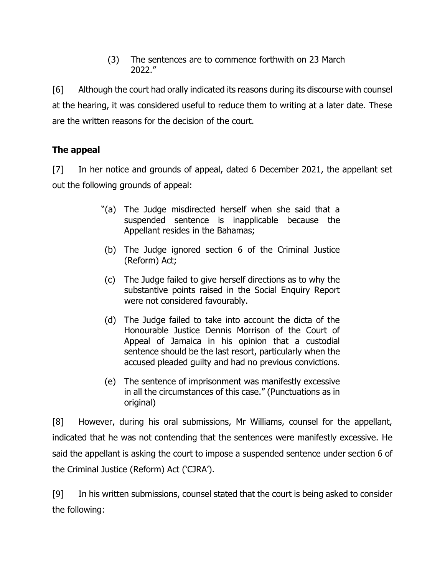(3) The sentences are to commence forthwith on 23 March 2022."

[6] Although the court had orally indicated its reasons during its discourse with counsel at the hearing, it was considered useful to reduce them to writing at a later date. These are the written reasons for the decision of the court.

# **The appeal**

[7] In her notice and grounds of appeal, dated 6 December 2021, the appellant set out the following grounds of appeal:

- "(a) The Judge misdirected herself when she said that a suspended sentence is inapplicable because the Appellant resides in the Bahamas;
- (b) The Judge ignored section 6 of the Criminal Justice (Reform) Act;
- (c) The Judge failed to give herself directions as to why the substantive points raised in the Social Enquiry Report were not considered favourably.
- (d) The Judge failed to take into account the dicta of the Honourable Justice Dennis Morrison of the Court of Appeal of Jamaica in his opinion that a custodial sentence should be the last resort, particularly when the accused pleaded guilty and had no previous convictions.
- (e) The sentence of imprisonment was manifestly excessive in all the circumstances of this case." (Punctuations as in original)

[8] However, during his oral submissions, Mr Williams, counsel for the appellant, indicated that he was not contending that the sentences were manifestly excessive. He said the appellant is asking the court to impose a suspended sentence under section 6 of the Criminal Justice (Reform) Act ('CJRA').

[9] In his written submissions, counsel stated that the court is being asked to consider the following: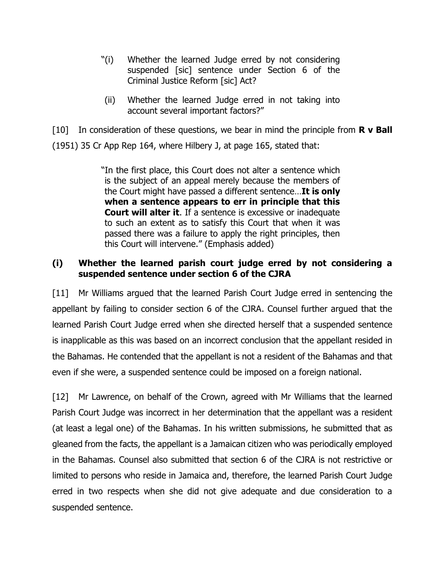- "(i) Whether the learned Judge erred by not considering suspended [sic] sentence under Section 6 of the Criminal Justice Reform [sic] Act?
- (ii) Whether the learned Judge erred in not taking into account several important factors?"

[10] In consideration of these questions, we bear in mind the principle from **R v Ball**  (1951) 35 Cr App Rep 164, where Hilbery J, at page 165, stated that:

> "In the first place, this Court does not alter a sentence which is the subject of an appeal merely because the members of the Court might have passed a different sentence…**It is only when a sentence appears to err in principle that this Court will alter it**. If a sentence is excessive or inadequate to such an extent as to satisfy this Court that when it was passed there was a failure to apply the right principles, then this Court will intervene." (Emphasis added)

# **(i) Whether the learned parish court judge erred by not considering a suspended sentence under section 6 of the CJRA**

[11] Mr Williams argued that the learned Parish Court Judge erred in sentencing the appellant by failing to consider section 6 of the CJRA. Counsel further argued that the learned Parish Court Judge erred when she directed herself that a suspended sentence is inapplicable as this was based on an incorrect conclusion that the appellant resided in the Bahamas. He contended that the appellant is not a resident of the Bahamas and that even if she were, a suspended sentence could be imposed on a foreign national.

[12] Mr Lawrence, on behalf of the Crown, agreed with Mr Williams that the learned Parish Court Judge was incorrect in her determination that the appellant was a resident (at least a legal one) of the Bahamas. In his written submissions, he submitted that as gleaned from the facts, the appellant is a Jamaican citizen who was periodically employed in the Bahamas. Counsel also submitted that section 6 of the CJRA is not restrictive or limited to persons who reside in Jamaica and, therefore, the learned Parish Court Judge erred in two respects when she did not give adequate and due consideration to a suspended sentence.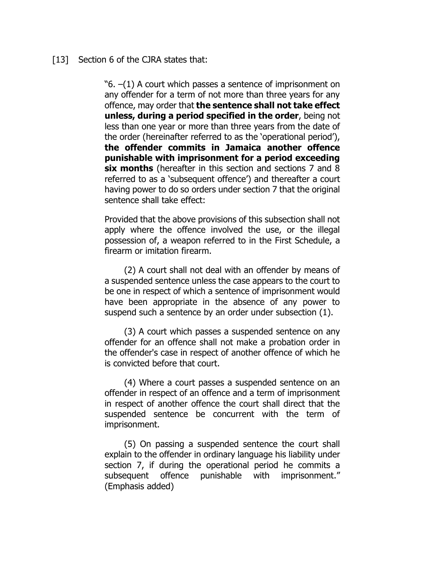## [13] Section 6 of the CJRA states that:

"6. –(1) A court which passes a sentence of imprisonment on any offender for a term of not more than three years for any offence, may order that **the sentence shall not take effect unless, during a period specified in the order**, being not less than one year or more than three years from the date of the order (hereinafter referred to as the 'operational period'), **the offender commits in Jamaica another offence punishable with imprisonment for a period exceeding six months** (hereafter in this section and sections 7 and 8 referred to as a 'subsequent offence') and thereafter a court having power to do so orders under section 7 that the original sentence shall take effect:

Provided that the above provisions of this subsection shall not apply where the offence involved the use, or the illegal possession of, a weapon referred to in the First Schedule, a firearm or imitation firearm.

(2) A court shall not deal with an offender by means of a suspended sentence unless the case appears to the court to be one in respect of which a sentence of imprisonment would have been appropriate in the absence of any power to suspend such a sentence by an order under subsection (1).

(3) A court which passes a suspended sentence on any offender for an offence shall not make a probation order in the offender's case in respect of another offence of which he is convicted before that court.

(4) Where a court passes a suspended sentence on an offender in respect of an offence and a term of imprisonment in respect of another offence the court shall direct that the suspended sentence be concurrent with the term of imprisonment.

(5) On passing a suspended sentence the court shall explain to the offender in ordinary language his liability under section 7, if during the operational period he commits a subsequent offence punishable with imprisonment." (Emphasis added)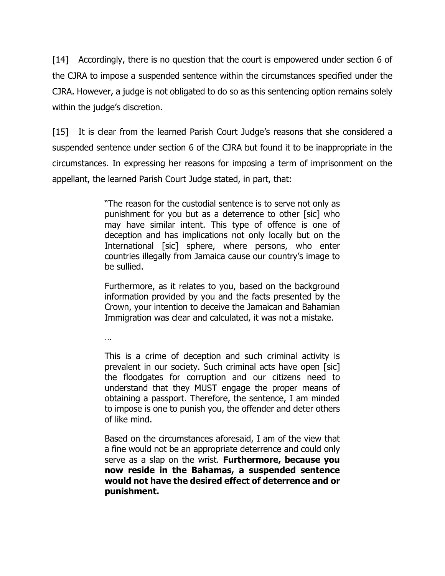[14] Accordingly, there is no question that the court is empowered under section 6 of the CJRA to impose a suspended sentence within the circumstances specified under the CJRA. However, a judge is not obligated to do so as this sentencing option remains solely within the judge's discretion.

[15] It is clear from the learned Parish Court Judge's reasons that she considered a suspended sentence under section 6 of the CJRA but found it to be inappropriate in the circumstances. In expressing her reasons for imposing a term of imprisonment on the appellant, the learned Parish Court Judge stated, in part, that:

> "The reason for the custodial sentence is to serve not only as punishment for you but as a deterrence to other [sic] who may have similar intent. This type of offence is one of deception and has implications not only locally but on the International [sic] sphere, where persons, who enter countries illegally from Jamaica cause our country's image to be sullied.

> Furthermore, as it relates to you, based on the background information provided by you and the facts presented by the Crown, your intention to deceive the Jamaican and Bahamian Immigration was clear and calculated, it was not a mistake.

…

This is a crime of deception and such criminal activity is prevalent in our society. Such criminal acts have open [sic] the floodgates for corruption and our citizens need to understand that they MUST engage the proper means of obtaining a passport. Therefore, the sentence, I am minded to impose is one to punish you, the offender and deter others of like mind.

Based on the circumstances aforesaid, I am of the view that a fine would not be an appropriate deterrence and could only serve as a slap on the wrist. **Furthermore, because you now reside in the Bahamas, a suspended sentence would not have the desired effect of deterrence and or punishment.**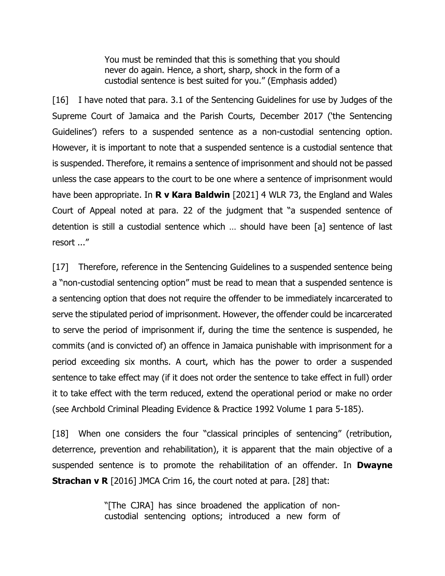You must be reminded that this is something that you should never do again. Hence, a short, sharp, shock in the form of a custodial sentence is best suited for you." (Emphasis added)

[16] I have noted that para. 3.1 of the Sentencing Guidelines for use by Judges of the Supreme Court of Jamaica and the Parish Courts, December 2017 ('the Sentencing Guidelines') refers to a suspended sentence as a non-custodial sentencing option. However, it is important to note that a suspended sentence is a custodial sentence that is suspended. Therefore, it remains a sentence of imprisonment and should not be passed unless the case appears to the court to be one where a sentence of imprisonment would have been appropriate. In **R v Kara Baldwin** [2021] 4 WLR 73, the England and Wales Court of Appeal noted at para. 22 of the judgment that "a suspended sentence of detention is still a custodial sentence which … should have been [a] sentence of last resort ..."

[17] Therefore, reference in the Sentencing Guidelines to a suspended sentence being a "non-custodial sentencing option" must be read to mean that a suspended sentence is a sentencing option that does not require the offender to be immediately incarcerated to serve the stipulated period of imprisonment. However, the offender could be incarcerated to serve the period of imprisonment if, during the time the sentence is suspended, he commits (and is convicted of) an offence in Jamaica punishable with imprisonment for a period exceeding six months. A court, which has the power to order a suspended sentence to take effect may (if it does not order the sentence to take effect in full) order it to take effect with the term reduced, extend the operational period or make no order (see Archbold Criminal Pleading Evidence & Practice 1992 Volume 1 para 5-185).

[18] When one considers the four "classical principles of sentencing" (retribution, deterrence, prevention and rehabilitation), it is apparent that the main objective of a suspended sentence is to promote the rehabilitation of an offender. In **Dwayne Strachan v R** [2016] JMCA Crim 16, the court noted at para. [28] that:

> "[The CJRA] has since broadened the application of noncustodial sentencing options; introduced a new form of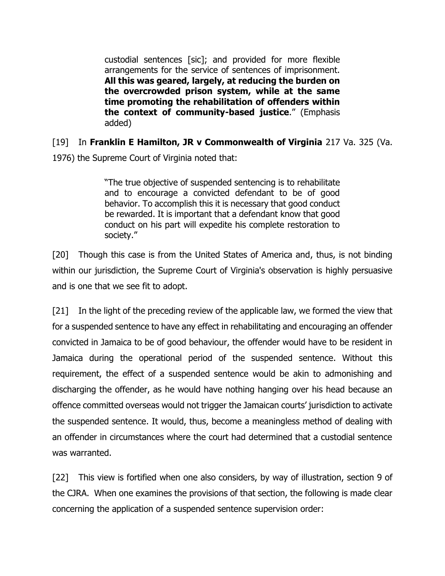custodial sentences [sic]; and provided for more flexible arrangements for the service of sentences of imprisonment. **All this was geared, largely, at reducing the burden on the overcrowded prison system, while at the same time promoting the rehabilitation of offenders within the context of community-based justice**." (Emphasis added)

[19] In **Franklin E Hamilton, JR v Commonwealth of Virginia** 217 Va. 325 (Va.

1976) the Supreme Court of Virginia noted that:

"The true objective of suspended sentencing is to rehabilitate and to encourage a convicted defendant to be of good behavior. To accomplish this it is necessary that good conduct be rewarded. It is important that a defendant know that good conduct on his part will expedite his complete restoration to society."

[20] Though this case is from the United States of America and, thus, is not binding within our jurisdiction, the Supreme Court of Virginia's observation is highly persuasive and is one that we see fit to adopt.

[21] In the light of the preceding review of the applicable law, we formed the view that for a suspended sentence to have any effect in rehabilitating and encouraging an offender convicted in Jamaica to be of good behaviour, the offender would have to be resident in Jamaica during the operational period of the suspended sentence. Without this requirement, the effect of a suspended sentence would be akin to admonishing and discharging the offender, as he would have nothing hanging over his head because an offence committed overseas would not trigger the Jamaican courts' jurisdiction to activate the suspended sentence. It would, thus, become a meaningless method of dealing with an offender in circumstances where the court had determined that a custodial sentence was warranted.

[22] This view is fortified when one also considers, by way of illustration, section 9 of the CJRA. When one examines the provisions of that section, the following is made clear concerning the application of a suspended sentence supervision order: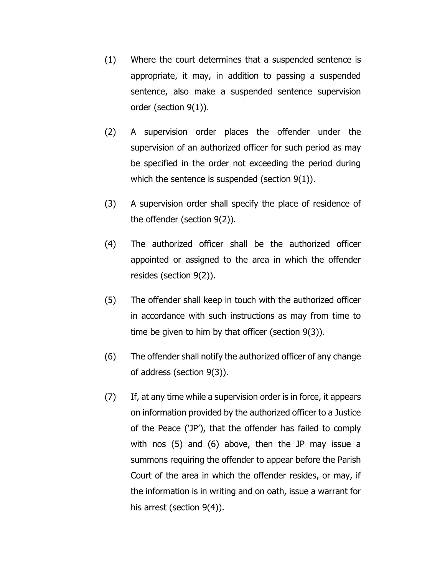- (1) Where the court determines that a suspended sentence is appropriate, it may, in addition to passing a suspended sentence, also make a suspended sentence supervision order (section 9(1)).
- (2) A supervision order places the offender under the supervision of an authorized officer for such period as may be specified in the order not exceeding the period during which the sentence is suspended (section 9(1)).
- (3) A supervision order shall specify the place of residence of the offender (section 9(2)).
- (4) The authorized officer shall be the authorized officer appointed or assigned to the area in which the offender resides (section 9(2)).
- (5) The offender shall keep in touch with the authorized officer in accordance with such instructions as may from time to time be given to him by that officer (section 9(3)).
- (6) The offender shall notify the authorized officer of any change of address (section 9(3)).
- (7) If, at any time while a supervision order is in force, it appears on information provided by the authorized officer to a Justice of the Peace ('JP'), that the offender has failed to comply with nos (5) and (6) above, then the JP may issue a summons requiring the offender to appear before the Parish Court of the area in which the offender resides, or may, if the information is in writing and on oath, issue a warrant for his arrest (section 9(4)).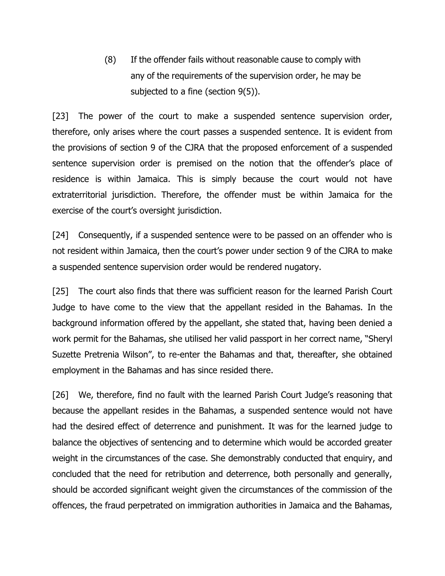(8) If the offender fails without reasonable cause to comply with any of the requirements of the supervision order, he may be subjected to a fine (section 9(5)).

[23] The power of the court to make a suspended sentence supervision order, therefore, only arises where the court passes a suspended sentence. It is evident from the provisions of section 9 of the CJRA that the proposed enforcement of a suspended sentence supervision order is premised on the notion that the offender's place of residence is within Jamaica. This is simply because the court would not have extraterritorial jurisdiction. Therefore, the offender must be within Jamaica for the exercise of the court's oversight jurisdiction.

[24] Consequently, if a suspended sentence were to be passed on an offender who is not resident within Jamaica, then the court's power under section 9 of the CJRA to make a suspended sentence supervision order would be rendered nugatory.

[25] The court also finds that there was sufficient reason for the learned Parish Court Judge to have come to the view that the appellant resided in the Bahamas. In the background information offered by the appellant, she stated that, having been denied a work permit for the Bahamas, she utilised her valid passport in her correct name, "Sheryl Suzette Pretrenia Wilson", to re-enter the Bahamas and that, thereafter, she obtained employment in the Bahamas and has since resided there.

[26] We, therefore, find no fault with the learned Parish Court Judge's reasoning that because the appellant resides in the Bahamas, a suspended sentence would not have had the desired effect of deterrence and punishment. It was for the learned judge to balance the objectives of sentencing and to determine which would be accorded greater weight in the circumstances of the case. She demonstrably conducted that enquiry, and concluded that the need for retribution and deterrence, both personally and generally, should be accorded significant weight given the circumstances of the commission of the offences, the fraud perpetrated on immigration authorities in Jamaica and the Bahamas,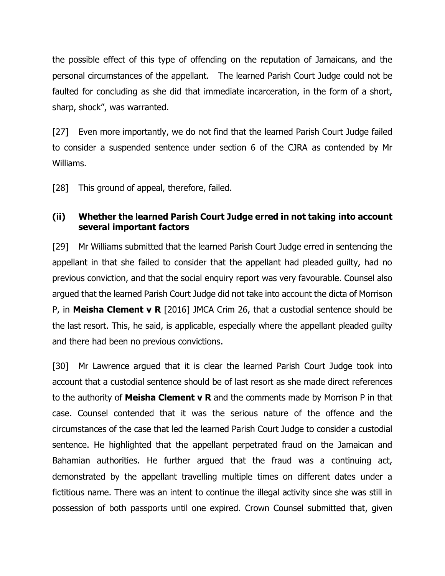the possible effect of this type of offending on the reputation of Jamaicans, and the personal circumstances of the appellant. The learned Parish Court Judge could not be faulted for concluding as she did that immediate incarceration, in the form of a short, sharp, shock", was warranted.

[27] Even more importantly, we do not find that the learned Parish Court Judge failed to consider a suspended sentence under section 6 of the CJRA as contended by Mr Williams.

[28] This ground of appeal, therefore, failed.

# **(ii) Whether the learned Parish Court Judge erred in not taking into account several important factors**

[29] Mr Williams submitted that the learned Parish Court Judge erred in sentencing the appellant in that she failed to consider that the appellant had pleaded guilty, had no previous conviction, and that the social enquiry report was very favourable. Counsel also argued that the learned Parish Court Judge did not take into account the dicta of Morrison P, in **Meisha Clement v R** [2016] JMCA Crim 26, that a custodial sentence should be the last resort. This, he said, is applicable, especially where the appellant pleaded guilty and there had been no previous convictions.

[30] Mr Lawrence argued that it is clear the learned Parish Court Judge took into account that a custodial sentence should be of last resort as she made direct references to the authority of **Meisha Clement v R** and the comments made by Morrison P in that case. Counsel contended that it was the serious nature of the offence and the circumstances of the case that led the learned Parish Court Judge to consider a custodial sentence. He highlighted that the appellant perpetrated fraud on the Jamaican and Bahamian authorities. He further argued that the fraud was a continuing act, demonstrated by the appellant travelling multiple times on different dates under a fictitious name. There was an intent to continue the illegal activity since she was still in possession of both passports until one expired. Crown Counsel submitted that, given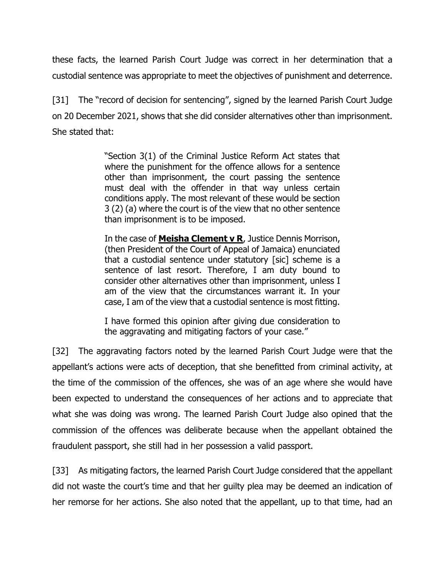these facts, the learned Parish Court Judge was correct in her determination that a custodial sentence was appropriate to meet the objectives of punishment and deterrence.

[31] The "record of decision for sentencing", signed by the learned Parish Court Judge on 20 December 2021, shows that she did consider alternatives other than imprisonment. She stated that:

> "Section 3(1) of the Criminal Justice Reform Act states that where the punishment for the offence allows for a sentence other than imprisonment, the court passing the sentence must deal with the offender in that way unless certain conditions apply. The most relevant of these would be section 3 (2) (a) where the court is of the view that no other sentence than imprisonment is to be imposed.

> In the case of **Meisha Clement v R**, Justice Dennis Morrison, (then President of the Court of Appeal of Jamaica) enunciated that a custodial sentence under statutory [sic] scheme is a sentence of last resort. Therefore, I am duty bound to consider other alternatives other than imprisonment, unless I am of the view that the circumstances warrant it. In your case, I am of the view that a custodial sentence is most fitting.

> I have formed this opinion after giving due consideration to the aggravating and mitigating factors of your case."

[32] The aggravating factors noted by the learned Parish Court Judge were that the appellant's actions were acts of deception, that she benefitted from criminal activity, at the time of the commission of the offences, she was of an age where she would have been expected to understand the consequences of her actions and to appreciate that what she was doing was wrong. The learned Parish Court Judge also opined that the commission of the offences was deliberate because when the appellant obtained the fraudulent passport, she still had in her possession a valid passport.

[33] As mitigating factors, the learned Parish Court Judge considered that the appellant did not waste the court's time and that her guilty plea may be deemed an indication of her remorse for her actions. She also noted that the appellant, up to that time, had an